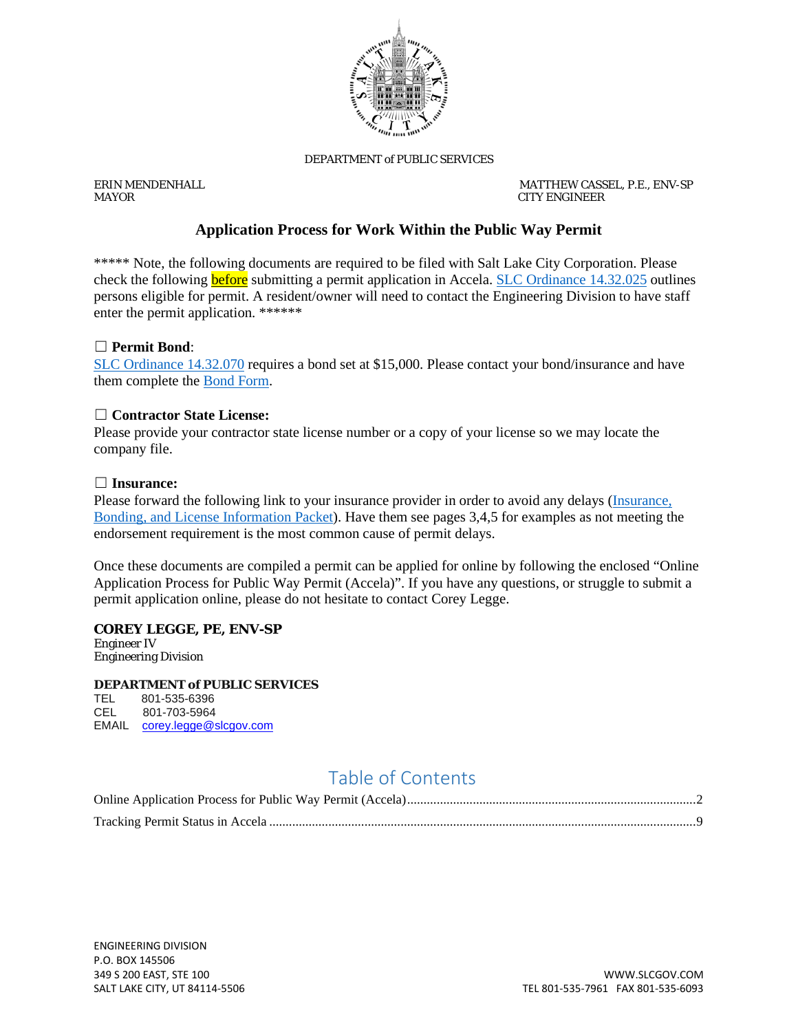

#### DEPARTMENT of PUBLIC SERVICES

ERIN MENDENHALL MATTHEW CASSEL, P.E., ENV-SP *MAYOR CITY ENGINEER*

### **Application Process for Work Within the Public Way Permit**

\*\*\*\*\* Note, the following documents are required to be filed with Salt Lake City Corporation. Please check the following **before** submitting a permit application in Accela. [SLC Ordinance 14.32.025](https://codelibrary.amlegal.com/codes/saltlakecityut/latest/saltlakecity_ut/0-0-0-54697) outlines persons eligible for permit. A resident/owner will need to contact the Engineering Division to have staff enter the permit application. \*\*\*\*\*\*

#### ☐ **Permit Bond**:

[SLC Ordinance 14.32.070](https://codelibrary.amlegal.com/codes/saltlakecityut/latest/saltlakecity_ut/0-0-0-54777#JD_14.32.070) requires a bond set at \$15,000. Please contact your bond/insurance and have them complete the [Bond Form.](https://www.slc.gov/mystreet/wp-content/uploads/sites/19/2019/08/Bond-and-Insurance-Packet-2018.pdf)

#### ☐ **Contractor State License:**

Please provide your contractor state license number or a copy of your license so we may locate the company file.

#### ☐ **Insurance:**

Please forward the following link to your insurance provider in order to avoid any delays (Insurance, [Bonding, and License Information Packet\)](https://www.slc.gov/mystreet/wp-content/uploads/sites/19/2019/08/Bond-and-Insurance-Packet-2018.pdf). Have them see pages 3,4,5 for examples as not meeting the endorsement requirement is the most common cause of permit delays.

Once these documents are compiled a permit can be applied for online by following the enclosed "Online Application Process for Public Way Permit (Accela)". If you have any questions, or struggle to submit a permit application online, please do not hesitate to contact Corey Legge.

#### **COREY LEGGE, PE, ENV-SP**

Engineer IV Engineering Division

#### **DEPARTMENT** *of* **PUBLIC SERVICES**

TEL 801-535-6396 CEL 801-703-5964 EMAIL [corey.legge@slcgov.com](mailto:corey.legge@slcgov.com)

## Table of Contents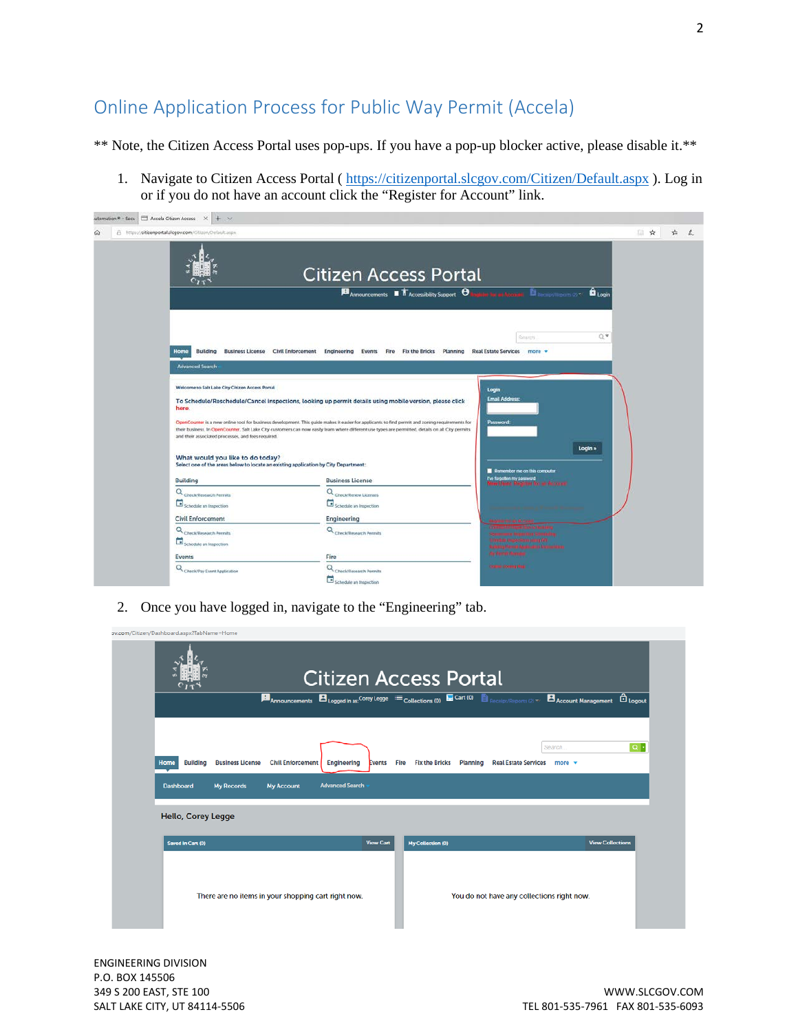# <span id="page-1-0"></span>Online Application Process for Public Way Permit (Accela)

\*\* Note, the Citizen Access Portal uses pop-ups. If you have a pop-up blocker active, please disable it.\*\*

1. Navigate to Citizen Access Portal (<https://citizenportal.slcgov.com/Citizen/Default.aspx> ). Log in or if you do not have an account click the "Register for Account" link.

| A https://citizenportal.slcgov.com/Citizen/Default.aspx                                                                                                                       |                                                                                                                                                                                                                                                                                                       |                                                                                                            | 日☆ | 塩 |
|-------------------------------------------------------------------------------------------------------------------------------------------------------------------------------|-------------------------------------------------------------------------------------------------------------------------------------------------------------------------------------------------------------------------------------------------------------------------------------------------------|------------------------------------------------------------------------------------------------------------|----|---|
|                                                                                                                                                                               | <b>Citizen Access Portal</b><br>$\blacksquare$ Announcements $\blacksquare$ The Accessibility Support $\Theta$                                                                                                                                                                                        | <b>B</b><br><b>B</b> Login                                                                                 |    |   |
| Home<br><b>Advanced Search</b>                                                                                                                                                | Building Business License Civil Enforcement Engineering Events Fire Fix the Bricks Planning Real Estate Services more =                                                                                                                                                                               | O W<br>Search.                                                                                             |    |   |
| Welcome to Salt Lake City Citizen Access Portal<br>here.                                                                                                                      | To Schedule/Reschedule/Cancel inspections, looking up permit details using mobile version, please click                                                                                                                                                                                               | Login<br><b>Email Address:</b>                                                                             |    |   |
| and their associated processes, and fees required.<br>What would you like to do today?<br>Select one of the areas below to locate an existing application by City Department: | OpenCounter is a new online tool for business development. This guide makes it easier for applicants to find permit and zoning requirements for<br>their business. In OpenCounter. Salt Lake City customers can now easily learn where different use types are permitted, details on all City permits | Password.<br>Login »                                                                                       |    |   |
| Building                                                                                                                                                                      | <b>Business License</b>                                                                                                                                                                                                                                                                               | Remember me on this computer<br>The torpolitan my possibled<br>Name Lineard, Registrate for the design att |    |   |
| Q Check/Research Permits                                                                                                                                                      | Q <sub>Check/Renew Licenses</sub>                                                                                                                                                                                                                                                                     |                                                                                                            |    |   |
| Schedule an Inspection                                                                                                                                                        | Schedule an Impection                                                                                                                                                                                                                                                                                 |                                                                                                            |    |   |
| <b>Civil Enforcement</b>                                                                                                                                                      | Engineering                                                                                                                                                                                                                                                                                           |                                                                                                            |    |   |
| Q <sub>Check/Research Permits</sub>                                                                                                                                           | Q. Check/Research Permits                                                                                                                                                                                                                                                                             |                                                                                                            |    |   |
| Schedule an impection                                                                                                                                                         |                                                                                                                                                                                                                                                                                                       | le thopechism sums MY<br>Walking Herrich Application Indications                                           |    |   |
| <b>Events</b>                                                                                                                                                                 | Fire                                                                                                                                                                                                                                                                                                  | <b>My Perry Married</b>                                                                                    |    |   |
| Q Check/Pay Event Application                                                                                                                                                 | Q <sub>Check/Research Permits</sub>                                                                                                                                                                                                                                                                   | Other Cornel Rig                                                                                           |    |   |
|                                                                                                                                                                               | Schedule an Inspection                                                                                                                                                                                                                                                                                |                                                                                                            |    |   |

2. Once you have logged in, navigate to the "Engineering" tab.

|                                                                                      | <b>月</b> Announcements 日 Logged in as: Corey Legge 三 Collections (0) 日 Cart (0) 目 Receipt/Reports (2) $\sim$ 日 Account Management 日 Logout |                       | <b>Citizen Access Portal</b>      |                                                          |                         |
|--------------------------------------------------------------------------------------|--------------------------------------------------------------------------------------------------------------------------------------------|-----------------------|-----------------------------------|----------------------------------------------------------|-------------------------|
| <b>Building</b><br><b>Business License</b><br>Home<br>Dashboard<br><b>My Records</b> | <b>Civil Enforcement</b><br><b>Engineering</b><br><b>Advanced Search</b><br><b>My Account</b>                                              | Events<br><b>Fire</b> | <b>Fix the Bricks</b><br>Planning | Search.<br><b>Real Estate Services</b><br>more $\mathbf$ | $\alpha$ -              |
| Hello, Corey Legge                                                                   |                                                                                                                                            |                       |                                   |                                                          |                         |
| Saved In Cart (0)                                                                    |                                                                                                                                            | <b>View Cart</b>      | My Collection (0)                 |                                                          | <b>View Collections</b> |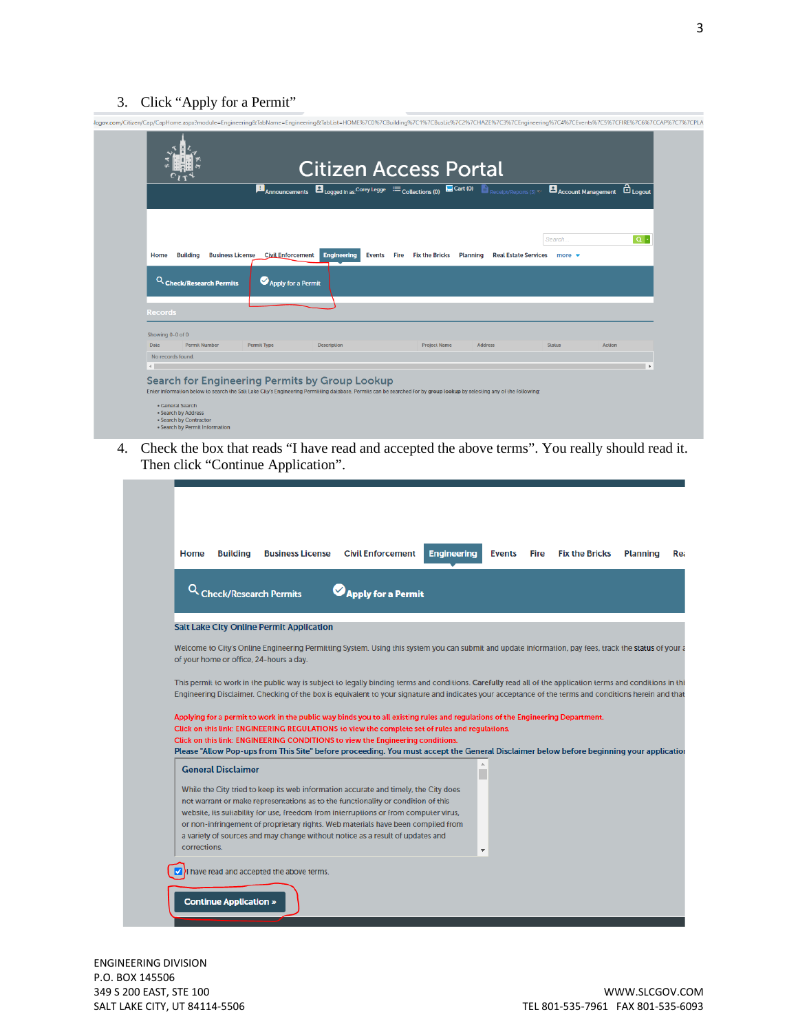### 3. Click "Apply for a Permit"

|                           |                                            |                          |                                     |                               | $\blacksquare_{\text{Announcements}} \blacksquare_{\text{Logged in as}} \text{Corey legs: } \equiv_{\text{Collections (0)}} \blacksquare_{\text{Cart (0)}} \blacksquare_{\text{Recipt/Reports (3)} \blacktriangledown} \blacksquare_{\text{Account Management}} \enspace \textcircled{1}_{\text{Logout}}$ |                           |                    |
|---------------------------|--------------------------------------------|--------------------------|-------------------------------------|-------------------------------|-----------------------------------------------------------------------------------------------------------------------------------------------------------------------------------------------------------------------------------------------------------------------------------------------------------|---------------------------|--------------------|
|                           |                                            |                          |                                     |                               |                                                                                                                                                                                                                                                                                                           |                           |                    |
|                           |                                            |                          |                                     |                               |                                                                                                                                                                                                                                                                                                           |                           |                    |
|                           |                                            |                          |                                     |                               |                                                                                                                                                                                                                                                                                                           | Search.                   | $\boxed{\alpha}$ . |
| <b>Building</b><br>Home   | <b>Business License</b>                    | <b>Civil Enforcement</b> | <b>Engineering</b><br><b>Events</b> | Fire<br><b>Fix the Bricks</b> | <b>Planning</b><br><b>Real Estate Services</b>                                                                                                                                                                                                                                                            | more $\blacktriangledown$ |                    |
|                           |                                            |                          |                                     |                               |                                                                                                                                                                                                                                                                                                           |                           |                    |
| <b>Records</b>            |                                            |                          |                                     |                               |                                                                                                                                                                                                                                                                                                           |                           |                    |
| Showing 0-0 of 0          |                                            |                          |                                     |                               |                                                                                                                                                                                                                                                                                                           |                           |                    |
| Date<br>No records found. | <b>Permit Number</b><br><b>Permit Type</b> |                          | <b>Description</b>                  | <b>Project Name</b>           | <b>Address</b>                                                                                                                                                                                                                                                                                            | <b>Status</b>             | <b>Action</b>      |

4. Check the box that reads "I have read and accepted the above terms". You really should read it. Then click "Continue Application".

| <b>Building</b><br>Home                 | <b>Business License</b>                                                                                                                                                                                                                                                                                              | <b>Civil Enforcement</b> | <b>Engineering</b> | <b>Events</b> | Fire | <b>Fix the Bricks</b> | <b>Planning</b> |
|-----------------------------------------|----------------------------------------------------------------------------------------------------------------------------------------------------------------------------------------------------------------------------------------------------------------------------------------------------------------------|--------------------------|--------------------|---------------|------|-----------------------|-----------------|
|                                         | <b>Check/Research Permits</b>                                                                                                                                                                                                                                                                                        | Apply for a Permit       |                    |               |      |                       |                 |
|                                         | <b>Salt Lake City Online Permit Application</b>                                                                                                                                                                                                                                                                      |                          |                    |               |      |                       |                 |
| of your home or office, 24-hours a day. | Welcome to City's Online Engineering Permitting System. Using this system you can submit and update information, pay fees, track the status of your a                                                                                                                                                                |                          |                    |               |      |                       |                 |
|                                         |                                                                                                                                                                                                                                                                                                                      |                          |                    |               |      |                       |                 |
|                                         |                                                                                                                                                                                                                                                                                                                      |                          |                    |               |      |                       |                 |
|                                         | This permit to work in the public way is subject to legally binding terms and conditions. Carefully read all of the application terms and conditions in thi<br>Engineering Disclaimer. Checking of the box is equivalent to your signature and indicates your acceptance of the terms and conditions herein and that |                          |                    |               |      |                       |                 |
|                                         |                                                                                                                                                                                                                                                                                                                      |                          |                    |               |      |                       |                 |
|                                         | Applying for a permit to work in the public way binds you to all existing rules and regulations of the Engineering Department.                                                                                                                                                                                       |                          |                    |               |      |                       |                 |
|                                         | Click on this link: ENGINEERING REGULATIONS to view the complete set of rules and regulations.<br>Click on this link: ENGINEERING CONDITIONS to view the Engineering conditions.                                                                                                                                     |                          |                    |               |      |                       |                 |
|                                         | Please "Allow Pop-ups from This Site" before proceeding. You must accept the General Disclaimer below before beginning your application                                                                                                                                                                              |                          |                    |               |      |                       |                 |
| <b>General Disclaimer</b>               |                                                                                                                                                                                                                                                                                                                      |                          |                    | $\triangle$   |      |                       |                 |
|                                         | While the City tried to keep its web information accurate and timely, the City does                                                                                                                                                                                                                                  |                          |                    |               |      |                       |                 |
|                                         | not warrant or make representations as to the functionality or condition of this                                                                                                                                                                                                                                     |                          |                    |               |      |                       |                 |
|                                         | website, its suitability for use, freedom from interruptions or from computer virus,<br>or non-infringement of proprietary rights. Web materials have been compiled from                                                                                                                                             |                          |                    |               |      |                       |                 |
|                                         | a variety of sources and may change without notice as a result of updates and                                                                                                                                                                                                                                        |                          |                    |               |      |                       |                 |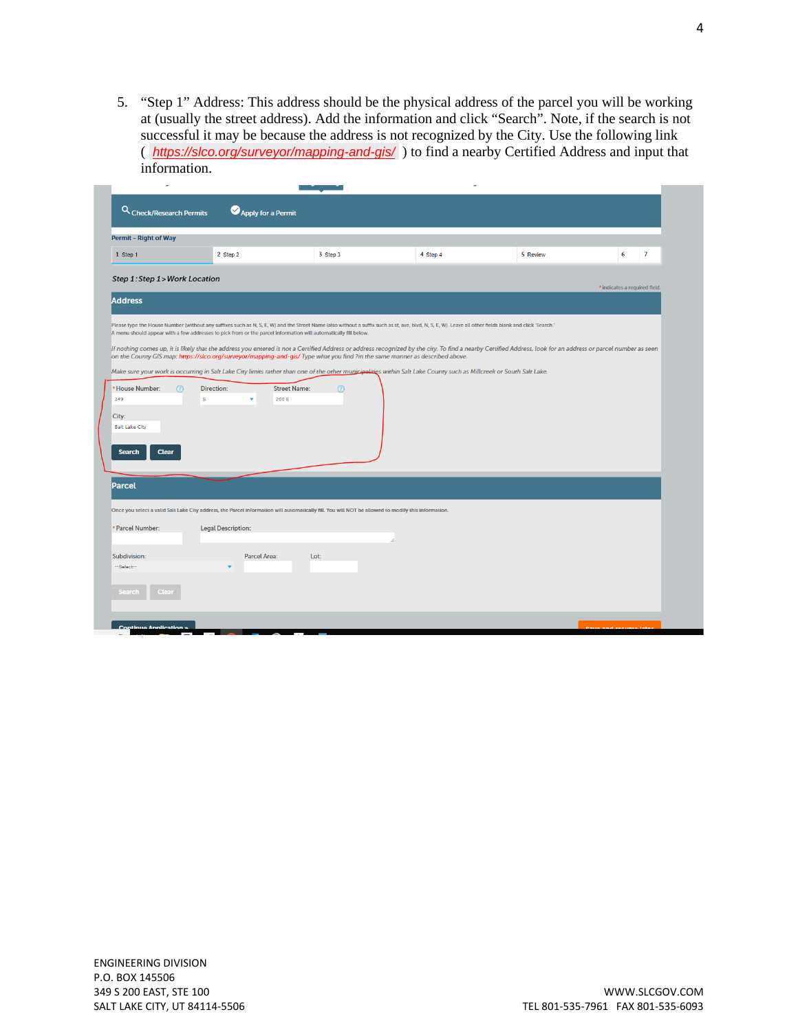5. "Step 1" Address: This address should be the physical address of the parcel you will be working at (usually the street address). Add the information and click "Search". Note, if the search is not successful it may be because the address is not recognized by the City. Use the following link ( *<https://slco.org/surveyor/mapping-and-gis/>* ) to find a nearby Certified Address and input that information.

| <b>Permit - Right of Way</b>                                    |                                                                                                                                                                                                                                                               |                                |                                                                                                                                                                                                                                                                                                                                                                                                                                                                                                                                                                                                |          |                               |
|-----------------------------------------------------------------|---------------------------------------------------------------------------------------------------------------------------------------------------------------------------------------------------------------------------------------------------------------|--------------------------------|------------------------------------------------------------------------------------------------------------------------------------------------------------------------------------------------------------------------------------------------------------------------------------------------------------------------------------------------------------------------------------------------------------------------------------------------------------------------------------------------------------------------------------------------------------------------------------------------|----------|-------------------------------|
| 1 Step 1                                                        | 2 Step 2                                                                                                                                                                                                                                                      | 3 Step 3                       | 4 Step 4                                                                                                                                                                                                                                                                                                                                                                                                                                                                                                                                                                                       | 5 Review | 6<br>$\overline{7}$           |
| Step 1: Step 1 > Work Location                                  |                                                                                                                                                                                                                                                               |                                |                                                                                                                                                                                                                                                                                                                                                                                                                                                                                                                                                                                                |          |                               |
| <b>Address</b>                                                  |                                                                                                                                                                                                                                                               |                                |                                                                                                                                                                                                                                                                                                                                                                                                                                                                                                                                                                                                |          | * indicates a required field. |
| * House Number:<br>റ                                            | A menu should appear with a few addresses to pick from or the parcel information will automatically fill below.<br>on the County GIS map: https://slco.org/surveyor/mapping-and-gis/ Type what you find ?in the same manner as described above.<br>Direction: | <b>Street Name:</b><br>$\odot$ | Please type the House Number (without any suffixes such as N, S, E, W) and the Street Name (also without a suffix such as st, ave, blvd, N, S, E, W). Leave all other fields blank and click 'Search.'<br>If nothing comes up, it is likely that the address you entered is not a Certified Address or address recognized by the city. To find a nearby Certified Address, look for an address or parcel number as seen<br>Make sure your work is occurring in Salt Lake City limits rather than one of the other municipalities within Salt Lake County such as Millcreek or South Salt Lake. |          |                               |
| 349<br>City:<br>Salt Lake City<br><b>Search</b><br><b>Clear</b> | s                                                                                                                                                                                                                                                             | 200 E                          |                                                                                                                                                                                                                                                                                                                                                                                                                                                                                                                                                                                                |          |                               |
| <b>Parcel</b>                                                   |                                                                                                                                                                                                                                                               |                                |                                                                                                                                                                                                                                                                                                                                                                                                                                                                                                                                                                                                |          |                               |
| * Parcel Number:                                                | Once you select a valid Salt Lake City address, the Parcel information will automatically fill. You will NOT be allowed to modify this information.<br><b>Legal Description:</b>                                                                              |                                |                                                                                                                                                                                                                                                                                                                                                                                                                                                                                                                                                                                                |          |                               |
| Subdivision:<br>--Select--                                      | <b>Parcel Area:</b><br>۰                                                                                                                                                                                                                                      | Lot:                           |                                                                                                                                                                                                                                                                                                                                                                                                                                                                                                                                                                                                |          |                               |
| <b>Search</b><br><b>Clear</b>                                   |                                                                                                                                                                                                                                                               |                                |                                                                                                                                                                                                                                                                                                                                                                                                                                                                                                                                                                                                |          |                               |
|                                                                 |                                                                                                                                                                                                                                                               |                                |                                                                                                                                                                                                                                                                                                                                                                                                                                                                                                                                                                                                |          |                               |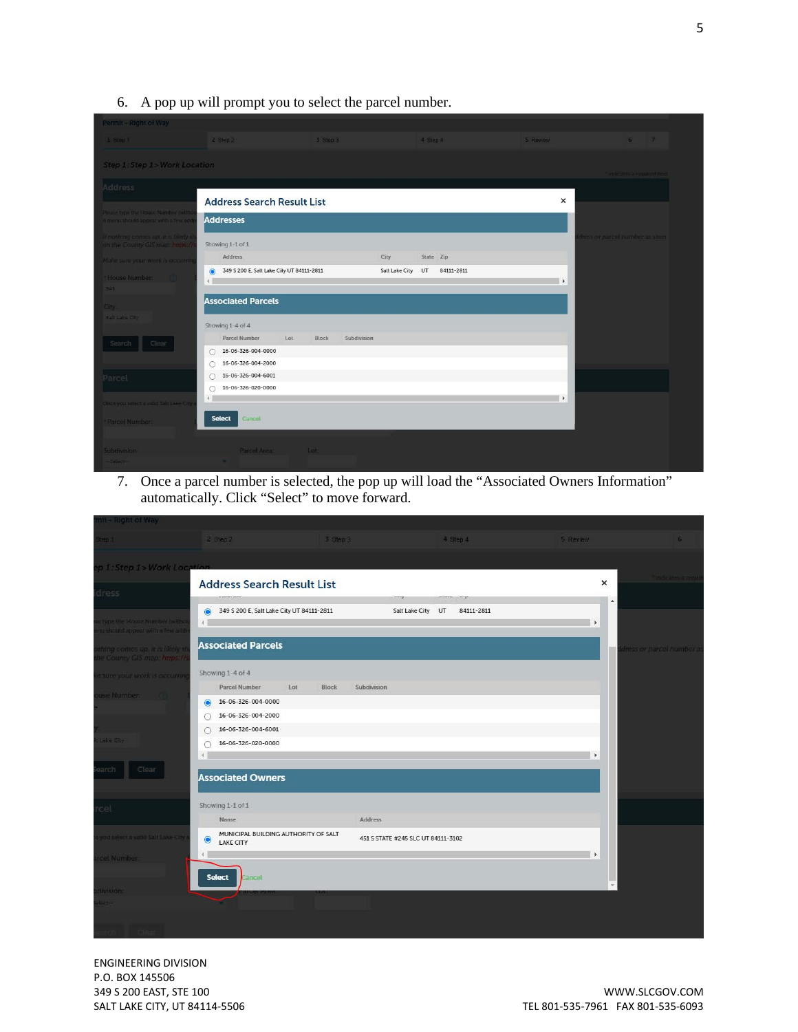6. A pop up will prompt you to select the parcel number.

| Permit - Right of Way                                                   |                                                                                     |              |             |                      |            |                       |                                |
|-------------------------------------------------------------------------|-------------------------------------------------------------------------------------|--------------|-------------|----------------------|------------|-----------------------|--------------------------------|
| 1 Step 1                                                                | 2 Step 2                                                                            | 3 Step 3     |             | 4 Step 4             |            | 5 Review              | 67                             |
| Step 1: Step 1 > Work Location                                          |                                                                                     |              |             |                      |            |                       |                                |
|                                                                         |                                                                                     |              |             |                      |            |                       | indicates a requirent field.   |
| Address                                                                 |                                                                                     |              |             |                      |            |                       |                                |
| Please type the House Number (with                                      | <b>Address Search Result List</b>                                                   |              |             |                      |            | $\times$              |                                |
| A menu should appear with a few edd                                     | <b>Addresses</b>                                                                    |              |             |                      |            |                       |                                |
| If nothing comes up, it is likely to<br>on the County GIS map: https:// | Showing 1-1 of 1                                                                    |              |             |                      |            |                       | tress or parcel number as seen |
| Make sure your work is occurring                                        | Address                                                                             |              | City        | State Zip            |            |                       |                                |
| <sup>*</sup> House Number:<br>349                                       | 349 S 200 E, Salt Lake City UT 84111-2811<br>$\odot$<br>$\left\vert 1\right\rangle$ |              |             | Salt Lake City<br>UT | 84111-2811 | $\ddot{\phantom{1}}$  |                                |
| City:                                                                   | <b>Associated Parcels</b>                                                           |              |             |                      |            |                       |                                |
| Saft Lake City                                                          | Showing 1-4 of 4                                                                    |              |             |                      |            |                       |                                |
| Search<br>Clear                                                         | Parcel Number                                                                       | Lot<br>Block | Subdivision |                      |            |                       |                                |
|                                                                         | 16-06-326-004-0000<br>$\bigcirc$                                                    |              |             |                      |            |                       |                                |
|                                                                         | 16-06-326-004-2000<br>O                                                             |              |             |                      |            |                       |                                |
| Parcel                                                                  | 16-06-326-004-6001<br>O<br>16-06-326-020-0000                                       |              |             |                      |            |                       |                                |
| Ohce you select a valid Salt Lake City                                  | Ο<br>$\leftarrow$                                                                   |              |             |                      |            | $\blacktriangleright$ |                                |
| Parcel Number:                                                          | <b>Select</b><br>Cancel                                                             |              |             |                      |            |                       |                                |
|                                                                         |                                                                                     |              |             |                      |            |                       |                                |
| Subdivision:                                                            | Parcel Area:                                                                        | Lot          |             |                      |            |                       |                                |
| $-5$ elect $-$                                                          |                                                                                     |              |             |                      |            |                       |                                |

7. Once a parcel number is selected, the pop up will load the "Associated Owners Information" automatically. Click "Select" to move forward.

| nit - Right of Way                                              |                                                                        |                                      |                                    |                                 |                       |                          |
|-----------------------------------------------------------------|------------------------------------------------------------------------|--------------------------------------|------------------------------------|---------------------------------|-----------------------|--------------------------|
| Step 1                                                          | 2 Step 2                                                               | 3 Step 3                             |                                    | 4 Step 4                        | 5 Review              | 6                        |
| p 1:Step 1> Work Location                                       |                                                                        |                                      |                                    |                                 |                       |                          |
|                                                                 | <b>Address Search Result List</b>                                      |                                      |                                    |                                 | ×                     | Indicates a pitch        |
| dress                                                           |                                                                        |                                      | en y                               |                                 | $\Delta$              |                          |
| type the Route Number (with:<br>wi should appear with a few add | 349 S 200 E, Salt Lake City UT 84111-2811<br>$\odot$<br>4 <sup>1</sup> |                                      |                                    | Salt Lake City UT<br>84111-2811 | $\blacktriangleright$ |                          |
| thing comes up, it is likely to<br>he County GIS map: https://  | <b>Associated Parcels</b>                                              |                                      |                                    |                                 |                       | dress or parcel number a |
| e sure your work is accurrin                                    | Showing 1-4 of 4                                                       |                                      |                                    |                                 |                       |                          |
| use Number.                                                     | <b>Parcel Number</b>                                                   | Lot<br><b>Block</b>                  | Subdivision                        |                                 |                       |                          |
|                                                                 | 16-06-326-004-0000<br>$\bullet$                                        |                                      |                                    |                                 |                       |                          |
|                                                                 | 16-06-326-004-2000<br>$\subset$                                        |                                      |                                    |                                 |                       |                          |
|                                                                 | 16-06-326-004-6001<br>C                                                |                                      |                                    |                                 |                       |                          |
| Lake City                                                       | 16-06-326-020-0000<br>∩                                                |                                      |                                    |                                 |                       |                          |
|                                                                 | $\left  4 \right $                                                     |                                      |                                    |                                 | $\blacktriangleright$ |                          |
| arch<br>Clear                                                   | <b>Associated Owners</b>                                               |                                      |                                    |                                 |                       |                          |
| sel                                                             | Showing 1-1 of 1                                                       |                                      |                                    |                                 |                       |                          |
|                                                                 | Name                                                                   |                                      | Address                            |                                 |                       |                          |
| you select a valid Salt Lake City.                              | $\bullet$<br><b>LAKE CITY</b>                                          | MUNICIPAL BUILDING AUTHORITY OF SALT | 451 S STATE #245 SLC UT 84111-3102 |                                 |                       |                          |
| rcel Number.                                                    | $\left\langle 1 \right\rangle$<br><b>Select</b><br>ancet               |                                      |                                    |                                 | $\rightarrow$         |                          |
| division                                                        |                                                                        |                                      |                                    |                                 |                       |                          |
| $L_{\text{C}}$                                                  |                                                                        |                                      |                                    |                                 |                       |                          |
|                                                                 |                                                                        |                                      |                                    |                                 |                       |                          |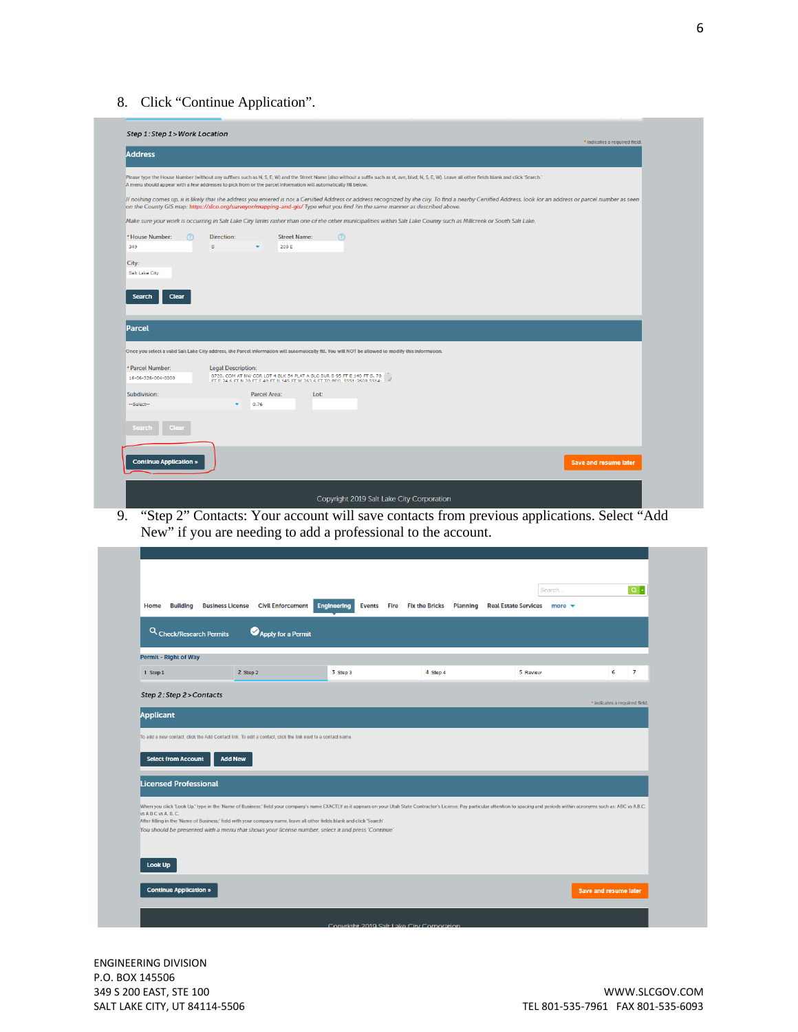8. Click "Continue Application".



9. "Step 2" Contacts: Your account will save contacts from previous applications. Select "Add New" if you are needing to add a professional to the account.

|                              | Q Check/Research Permits<br>Apply for a Permit                                                                                                                                                                               |          |          |                                                                                                                                                                                                                                |                               |
|------------------------------|------------------------------------------------------------------------------------------------------------------------------------------------------------------------------------------------------------------------------|----------|----------|--------------------------------------------------------------------------------------------------------------------------------------------------------------------------------------------------------------------------------|-------------------------------|
| <b>Permit - Right of Way</b> |                                                                                                                                                                                                                              |          |          |                                                                                                                                                                                                                                |                               |
| 1 Step 1                     | 2 Step 2                                                                                                                                                                                                                     | 3 Step 3 | 4 Step 4 | 5 Review                                                                                                                                                                                                                       | $\overline{7}$<br>6           |
| Step 2: Step 2 > Contacts    |                                                                                                                                                                                                                              |          |          |                                                                                                                                                                                                                                |                               |
|                              |                                                                                                                                                                                                                              |          |          |                                                                                                                                                                                                                                | * indicates a required field. |
| <b>Applicant</b>             |                                                                                                                                                                                                                              |          |          |                                                                                                                                                                                                                                |                               |
|                              |                                                                                                                                                                                                                              |          |          |                                                                                                                                                                                                                                |                               |
|                              |                                                                                                                                                                                                                              |          |          |                                                                                                                                                                                                                                |                               |
|                              | To add a new contact, click the Add Contact link. To edit a contact, click the link next to a contact name                                                                                                                   |          |          |                                                                                                                                                                                                                                |                               |
| <b>Select from Account</b>   | <b>Add New</b>                                                                                                                                                                                                               |          |          |                                                                                                                                                                                                                                |                               |
|                              |                                                                                                                                                                                                                              |          |          |                                                                                                                                                                                                                                |                               |
| <b>Licensed Professional</b> |                                                                                                                                                                                                                              |          |          |                                                                                                                                                                                                                                |                               |
|                              |                                                                                                                                                                                                                              |          |          |                                                                                                                                                                                                                                |                               |
|                              |                                                                                                                                                                                                                              |          |          | When you click 'Look Up,' type in the 'Name of Business:' field your company's name EXACTLY as it appears on your Utah State Contractor's License. Pay particular attention to spacing and periods within acronyms such as: AB |                               |
| vs A B C vs A. B. C.         | After filling in the 'Name of Business;' field with your company name, leave all other fields blank and click 'Search'<br>You should be presented with a menu that shows your license number, select it and press 'Continue' |          |          |                                                                                                                                                                                                                                |                               |
|                              |                                                                                                                                                                                                                              |          |          |                                                                                                                                                                                                                                |                               |
|                              |                                                                                                                                                                                                                              |          |          |                                                                                                                                                                                                                                |                               |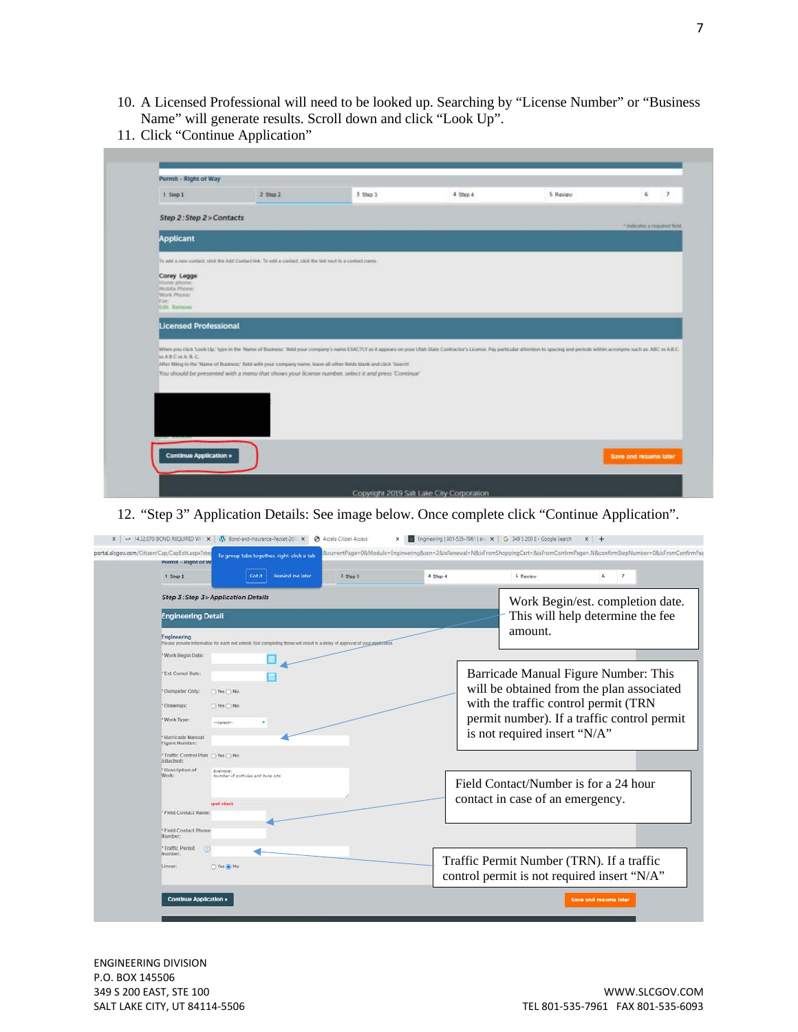- 10. A Licensed Professional will need to be looked up. Searching by "License Number" or "Business Name" will generate results. Scroll down and click "Look Up".
- 11. Click "Continue Application"

| Permit - Right of Way         |                                                                                                            |                                                                                                                                                                                                                                |          |          |                               |
|-------------------------------|------------------------------------------------------------------------------------------------------------|--------------------------------------------------------------------------------------------------------------------------------------------------------------------------------------------------------------------------------|----------|----------|-------------------------------|
| $1$ Step $1$                  | 2 Step 2                                                                                                   | $3$ Step $3$                                                                                                                                                                                                                   | 4 Step 4 | 5 Review | 6                             |
| Step 2: Step 2 > Contacts     |                                                                                                            |                                                                                                                                                                                                                                |          |          | + indicates a required field. |
| <b>Applicant</b>              |                                                                                                            |                                                                                                                                                                                                                                |          |          |                               |
|                               | To add a new coolact, click the Add Contact link. To add a contact, click the link next to a contact name. |                                                                                                                                                                                                                                |          |          |                               |
| Corey Legge<br>Home phone:    |                                                                                                            |                                                                                                                                                                                                                                |          |          |                               |
| Mobilis Phone:<br>Work Phone: |                                                                                                            |                                                                                                                                                                                                                                |          |          |                               |
| Fax:                          |                                                                                                            |                                                                                                                                                                                                                                |          |          |                               |
| Edit Remove                   |                                                                                                            |                                                                                                                                                                                                                                |          |          |                               |
|                               |                                                                                                            |                                                                                                                                                                                                                                |          |          |                               |
| <b>Licensed Professional</b>  |                                                                                                            |                                                                                                                                                                                                                                |          |          |                               |
|                               |                                                                                                            | When you click 'Look Up,' type in the 'Name of Business' field your company's name EXACTLY as it appears on your Utah State Contractor's License. Pay particular attention to spocing and periods within acronyms such as: ABC |          |          |                               |
| WASCWARC                      |                                                                                                            | After filling in the 'Name of Business,' field with your company name, buyer all other fields blank and click "Search"                                                                                                         |          |          |                               |
|                               |                                                                                                            | You should be presented with a menu that shows your license number, select it and press 'Continue'                                                                                                                             |          |          |                               |
|                               |                                                                                                            |                                                                                                                                                                                                                                |          |          |                               |
|                               |                                                                                                            |                                                                                                                                                                                                                                |          |          |                               |
|                               |                                                                                                            |                                                                                                                                                                                                                                |          |          |                               |
|                               |                                                                                                            |                                                                                                                                                                                                                                |          |          |                               |
|                               |                                                                                                            |                                                                                                                                                                                                                                |          |          |                               |
| <b>Continue Application »</b> |                                                                                                            |                                                                                                                                                                                                                                |          |          | Save and resume later         |

12. "Step 3" Application Details: See image below. Once complete click "Continue Application".

| 1 Step 1    |                                       | Got it                           | <b>Remind me later</b> | 3 Step 3                                                                                                                    | 4 Step 4 |                                                                                          | 5 Review | 6 | $\overline{\phantom{a}}$                    |
|-------------|---------------------------------------|----------------------------------|------------------------|-----------------------------------------------------------------------------------------------------------------------------|----------|------------------------------------------------------------------------------------------|----------|---|---------------------------------------------|
|             |                                       |                                  |                        |                                                                                                                             |          |                                                                                          |          |   |                                             |
|             | Step 3: Step 3> Application Details   |                                  |                        |                                                                                                                             |          |                                                                                          |          |   | Work Begin/est. completion date.            |
|             | <b>Engineering Detail</b>             |                                  |                        |                                                                                                                             |          |                                                                                          |          |   | This will help determine the fee            |
| Engineering |                                       |                                  |                        | Please provide information for each red asterik. Not completing these will result in a delay of approval of your appleation |          |                                                                                          | amount.  |   |                                             |
|             | * Work Begin Date:                    | 亜                                |                        |                                                                                                                             |          |                                                                                          |          |   |                                             |
|             | *Est Compl Date:                      |                                  |                        |                                                                                                                             |          |                                                                                          |          |   | Barricade Manual Figure Number: This        |
|             | *Dumpster Only:<br>○Yes ○ No          |                                  |                        |                                                                                                                             |          |                                                                                          |          |   | will be obtained from the plan associated   |
| 'Drawings:  | ○Yes ○ No                             |                                  |                        |                                                                                                                             |          | with the traffic control permit (TRN                                                     |          |   |                                             |
| Work Type:  | -Salactivi                            |                                  |                        |                                                                                                                             |          |                                                                                          |          |   | permit number). If a traffic control permit |
|             | * Barricade Manual<br>Figure Number:  |                                  |                        |                                                                                                                             |          | is not required insert "N/A"                                                             |          |   |                                             |
| Attached:   | ™ Traffic Control Plan ( ) Yes ( ) No |                                  |                        |                                                                                                                             |          |                                                                                          |          |   |                                             |
| Work:       | *Description of<br>Example:           | Number of potholes and bore pits |                        |                                                                                                                             |          |                                                                                          |          |   |                                             |
|             |                                       |                                  |                        |                                                                                                                             |          | Field Contact/Number is for a 24 hour                                                    |          |   |                                             |
|             | spell check                           |                                  |                        |                                                                                                                             |          | contact in case of an emergency.                                                         |          |   |                                             |
|             | Field Contact Name:                   |                                  |                        |                                                                                                                             |          |                                                                                          |          |   |                                             |
| Number:     | * Field Contact Phone                 |                                  |                        |                                                                                                                             |          |                                                                                          |          |   |                                             |
| Number:     | * Traffic Permit<br>(7)               |                                  |                        |                                                                                                                             |          |                                                                                          |          |   |                                             |
| Linear:     | Yes & No                              |                                  |                        |                                                                                                                             |          | Traffic Permit Number (TRN). If a traffic<br>control permit is not required insert "N/A" |          |   |                                             |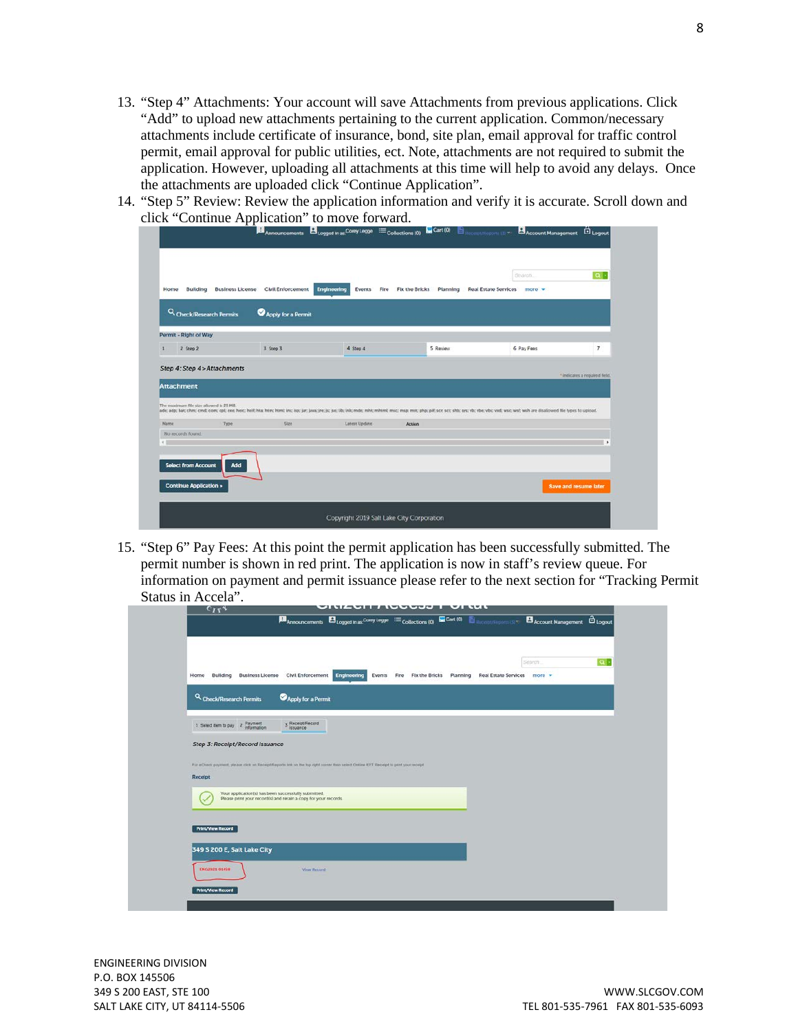- 13. "Step 4" Attachments: Your account will save Attachments from previous applications. Click "Add" to upload new attachments pertaining to the current application. Common/necessary attachments include certificate of insurance, bond, site plan, email approval for traffic control permit, email approval for public utilities, ect. Note, attachments are not required to submit the application. However, uploading all attachments at this time will help to avoid any delays. Once the attachments are uploaded click "Continue Application".
- 14. "Step 5" Review: Review the application information and verify it is accurate. Scroll down and click "Continue Application" to move forward.

| Building<br>Home                                                     | <b>Business License</b> | <b>Civil Enforcement</b> | <b>Engineering</b><br>Events<br>Fire | <b>Fix the Bricks</b><br>Planning | <b>Real Estate Services</b><br>$more -$                                                                                                                                                                                        |                               |
|----------------------------------------------------------------------|-------------------------|--------------------------|--------------------------------------|-----------------------------------|--------------------------------------------------------------------------------------------------------------------------------------------------------------------------------------------------------------------------------|-------------------------------|
| Q Check/Research Permits                                             |                         | Apply for a Permit       |                                      |                                   |                                                                                                                                                                                                                                |                               |
| Permit - Right of Way                                                |                         |                          |                                      |                                   |                                                                                                                                                                                                                                |                               |
| 2 Step 2                                                             |                         | 3 Step 3                 | 4 Step 4                             | 5 Review                          | 6 Pay Fees                                                                                                                                                                                                                     | $\overline{7}$                |
| Step 4: Step 4 > Attachments<br><b>Attachment</b>                    |                         |                          |                                      |                                   |                                                                                                                                                                                                                                | * indicates a required field. |
|                                                                      |                         |                          |                                      |                                   | ade; adp; bat; chm; cmd; com; cpt; exe; heic; heif; hta; htm; htm; htm; ins; lar; java; java; jre; js; jac; lib; lnic; mdc; mht; mhtml; msc; msp; mnt; php; pif; scr; sct; shb; sys; vb; vbe; vbs; vxd; wsc; wst; vbs in all a |                               |
|                                                                      | Type                    | Size:                    | Latest Update                        | Action                            |                                                                                                                                                                                                                                |                               |
| The maximum file size allowed is 25 MB.<br>Name<br>No records found. |                         |                          |                                      |                                   |                                                                                                                                                                                                                                |                               |
|                                                                      |                         |                          |                                      |                                   |                                                                                                                                                                                                                                | ٠                             |
| <b>Select from Account</b>                                           | Add                     |                          |                                      |                                   |                                                                                                                                                                                                                                |                               |

15. "Step 6" Pay Fees: At this point the permit application has been successfully submitted. The permit number is shown in red print. The application is now in staff's review queue. For information on payment and permit issuance please refer to the next section for "Tracking Permit Status in Accela".

| Building<br><b>Business License</b><br>Home | <b>Civil Enforcement</b><br><b>Engineering</b>                                                                                         | Fire<br><b>Fix the Bricks</b><br>Events | Planning | Search.<br><b>Real Estate Services</b><br>$more -$ | $ a $ . |
|---------------------------------------------|----------------------------------------------------------------------------------------------------------------------------------------|-----------------------------------------|----------|----------------------------------------------------|---------|
| Q Check/Research Permits                    | Apply for a Permit                                                                                                                     |                                         |          |                                                    |         |
| 1 Select item to pay 2 Payment              | 3 Receipt/Record                                                                                                                       |                                         |          |                                                    |         |
| Step 3: Receipt/Record Issuance             |                                                                                                                                        |                                         |          |                                                    |         |
| Receipt                                     | For #Chinck payment, please click on Receipt/Reports link on the top right corner then select Online EFT Receipt to print your receipt |                                         |          |                                                    |         |
|                                             | Your application(s) has been successfully submitted.<br>Please print your record(s) and retain a copy for your records.                |                                         |          |                                                    |         |
| <b>Print/View Record</b>                    |                                                                                                                                        |                                         |          |                                                    |         |
|                                             |                                                                                                                                        |                                         |          |                                                    |         |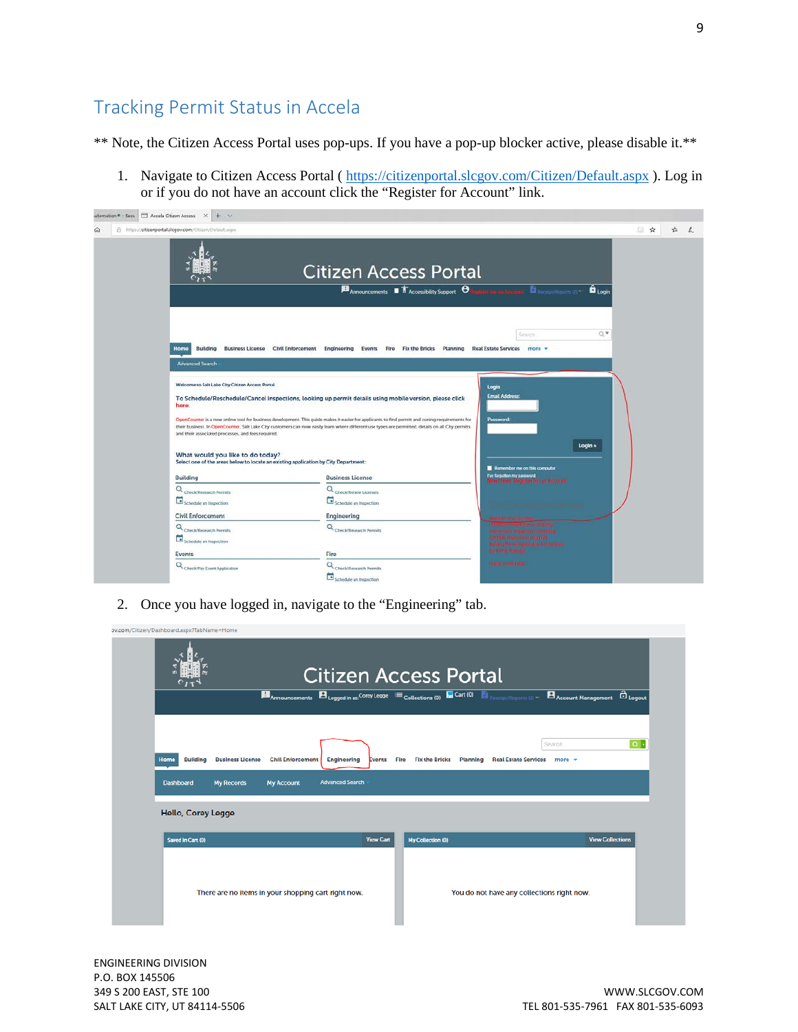## <span id="page-8-0"></span>Tracking Permit Status in Accela

\*\* Note, the Citizen Access Portal uses pop-ups. If you have a pop-up blocker active, please disable it.\*\*

1. Navigate to Citizen Access Portal (<https://citizenportal.slcgov.com/Citizen/Default.aspx> ). Log in or if you do not have an account click the "Register for Account" link.

| utomation * - Secu   Accela Citizen Access X + V                                                                        |                                                                                                                                                                                                                                                                                                       |                                                                           |    |   |
|-------------------------------------------------------------------------------------------------------------------------|-------------------------------------------------------------------------------------------------------------------------------------------------------------------------------------------------------------------------------------------------------------------------------------------------------|---------------------------------------------------------------------------|----|---|
| A https://citizenportal.slcgov.com/Citizen/Default.aspx                                                                 | <b>Citizen Access Portal</b>                                                                                                                                                                                                                                                                          |                                                                           | 一會 | ÷ |
|                                                                                                                         | Announcements <b>T</b> Accessibility Support <b>O</b>                                                                                                                                                                                                                                                 | <b>Burner Account Discovered Avenue</b><br><b>B</b> Login                 |    |   |
| Home                                                                                                                    | Building Business License Civil Enforcement Engineering Events Fire Fix the Bricks Planning Real Estate Services more =                                                                                                                                                                               | U.A<br>Search.                                                            |    |   |
| <b>Advanced Search</b>                                                                                                  |                                                                                                                                                                                                                                                                                                       |                                                                           |    |   |
| Welcome to Salt Lake City Citizen Access Portal<br>here.                                                                | To Schedule/Reschedule/Cancel inspections, looking up permit details using mobile version, please click                                                                                                                                                                                               | Login<br><b>Email Address:</b>                                            |    |   |
| and their associated processes, and fees required.                                                                      | OpenCounter is a new online tool for business development. This guide makes it easier for applicants to find permit and zoning requirements for<br>their business. In OpenCounter. Salt Lake City customers can now easily learn where different use types are permitted, details on all City permits | Password.                                                                 |    |   |
| What would you like to do today?<br>Select one of the areas below to locate an existing application by City Department: | <b>Business License</b>                                                                                                                                                                                                                                                                               | Login »<br>Remember me on this computer                                   |    |   |
| <b>Building</b><br>Q Check/Research Permits                                                                             | Q Check/Renew Licenses                                                                                                                                                                                                                                                                                | The forgotten my password<br>News Efforce: Registrate for any description |    |   |
| Schedule an Inspection                                                                                                  | Schedule an Inspection                                                                                                                                                                                                                                                                                |                                                                           |    |   |
| <b>Civil Enforcement</b>                                                                                                | Engineering                                                                                                                                                                                                                                                                                           |                                                                           |    |   |
| Q <sub>Check/Research Permits</sub><br>Schedule an impection                                                            | Q <sub>Check/Research Permits</sub>                                                                                                                                                                                                                                                                   | in date impection story off                                               |    |   |
| <b>Events</b>                                                                                                           | Fire                                                                                                                                                                                                                                                                                                  | <b>Walking Hermit Application follow time</b><br><b>My Perry Manufal</b>  |    |   |
| Q Check/Pay Event Application                                                                                           | Q <sub>Check/Research Permits</sub><br>Schedule an Inspection                                                                                                                                                                                                                                         | Online Conny Map                                                          |    |   |

2. Once you have logged in, navigate to the "Engineering" tab.

|                         |                                                     |                        |                       |                                   | <b>Announcements</b> $\mathbf{B}_{\text{Logged in as}}$ Corey Legge $:=$ Collections (0) $\blacksquare$ Cart (0) $\blacksquare$ Receipt/Reports (2) $\triangledown$ $\blacksquare$ Account Management | <b>El</b> Logout           |
|-------------------------|-----------------------------------------------------|------------------------|-----------------------|-----------------------------------|-------------------------------------------------------------------------------------------------------------------------------------------------------------------------------------------------------|----------------------------|
|                         |                                                     |                        |                       |                                   | Search.                                                                                                                                                                                               | $Q +$                      |
| <b>Building</b><br>Home | <b>Civil Enforcement</b><br><b>Business License</b> | <b>Engineering</b>     | <b>Fire</b><br>Events | <b>Fix the Bricks</b><br>Planning | <b>Real Estate Services</b>                                                                                                                                                                           | more $\mathbf{\mathbf{v}}$ |
| <b>Dashboard</b>        | <b>My Records</b><br><b>My Account</b>              | <b>Advanced Search</b> |                       |                                   |                                                                                                                                                                                                       |                            |
|                         |                                                     |                        |                       |                                   |                                                                                                                                                                                                       |                            |
| Hello, Corey Legge      |                                                     |                        |                       |                                   |                                                                                                                                                                                                       |                            |
|                         |                                                     |                        | <b>View Cart</b>      | My Collection (0)                 |                                                                                                                                                                                                       | <b>View Collections</b>    |